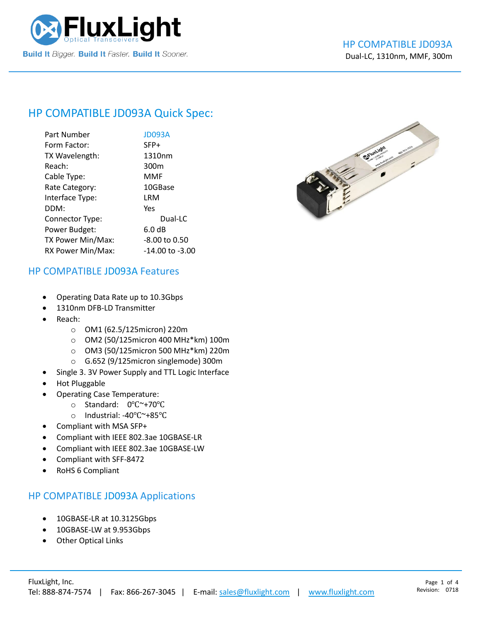

# HP COMPATIBLE [JD093A](https://www.fluxlight.com/) Quick Spec:

| Part Number       | <b>JD093A</b>    |
|-------------------|------------------|
| Form Factor:      | SFP+             |
| TX Wavelength:    | 1310nm           |
| Reach:            | 300 <sub>m</sub> |
| Cable Type:       | MMF              |
| Rate Category:    | 10GBase          |
| Interface Type:   | LRM              |
| DDM:              | Yes              |
| Connector Type:   | Dual-LC          |
| Power Budget:     | 6.0 dB           |
| TX Power Min/Max: | -8.00 to 0.50    |
| RX Power Min/Max: | -14.00 to -3.00  |



#### HP COMPATIBLE [JD093A](https://www.fluxlight.com/) Features

- Operating Data Rate up to 10.3Gbps
- 1310nm DFB-LD Transmitter
- Reach:
	- o OM1 (62.5/125micron) 220m
	- o OM2 (50/125micron 400 MHz\*km) 100m
	- o OM3 (50/125micron 500 MHz\*km) 220m
	- o G.652 (9/125micron singlemode) 300m
- Single 3. 3V Power Supply and TTL Logic Interface
- Hot Pluggable
- Operating Case Temperature:
	- o Standard: 0℃~+70℃
	- o Industrial: -40℃~+85℃
- Compliant with MSA SFP+
- Compliant with IEEE 802.3ae 10GBASE-LR
- Compliant with IEEE 802.3ae 10GBASE-LW
- Compliant with SFF-8472
- RoHS 6 Compliant

#### HP COMPATIBLE [JD093A](https://www.fluxlight.com/) Applications

- 10GBASE-LR at 10.3125Gbps
- 10GBASE-LW at 9.953Gbps
- **Other Optical Links**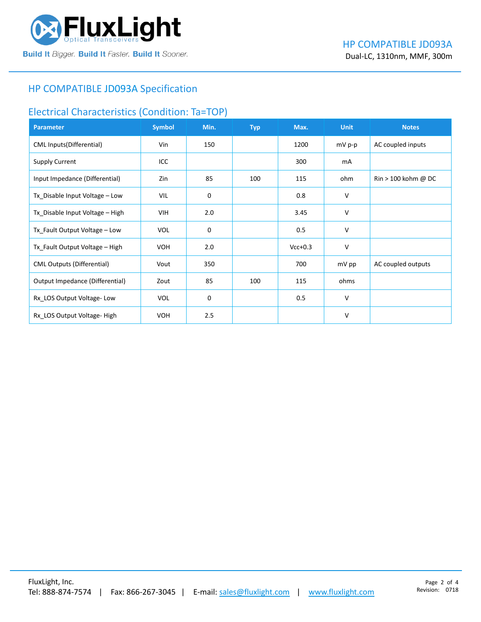

### HP COMPATIBLE [JD093A](https://www.fluxlight.com/) Specification

### Electrical Characteristics (Condition: Ta=TOP)

| <b>Parameter</b>                  | <b>Symbol</b> | Min. | <b>Typ</b> | Max.      | <b>Unit</b> | <b>Notes</b>                          |
|-----------------------------------|---------------|------|------------|-----------|-------------|---------------------------------------|
| <b>CML Inputs(Differential)</b>   | Vin           | 150  |            | 1200      | $mV p-p$    | AC coupled inputs                     |
| <b>Supply Current</b>             | ICC           |      |            | 300       | mA          |                                       |
| Input Impedance (Differential)    | Zin           | 85   | 100        | 115       | ohm         | $\text{Rin} > 100 \text{ kohm } @$ DC |
| Tx_Disable Input Voltage - Low    | VIL           | 0    |            | 0.8       | $\vee$      |                                       |
| Tx_Disable Input Voltage - High   | <b>VIH</b>    | 2.0  |            | 3.45      | $\vee$      |                                       |
| Tx_Fault Output Voltage - Low     | <b>VOL</b>    | 0    |            | 0.5       | v           |                                       |
| Tx_Fault Output Voltage - High    | <b>VOH</b>    | 2.0  |            | $Vcc+0.3$ | $\vee$      |                                       |
| <b>CML Outputs (Differential)</b> | Vout          | 350  |            | 700       | mV pp       | AC coupled outputs                    |
| Output Impedance (Differential)   | Zout          | 85   | 100        | 115       | ohms        |                                       |
| Rx_LOS Output Voltage-Low         | <b>VOL</b>    | 0    |            | 0.5       | $\vee$      |                                       |
| Rx_LOS Output Voltage-High        | <b>VOH</b>    | 2.5  |            |           | v           |                                       |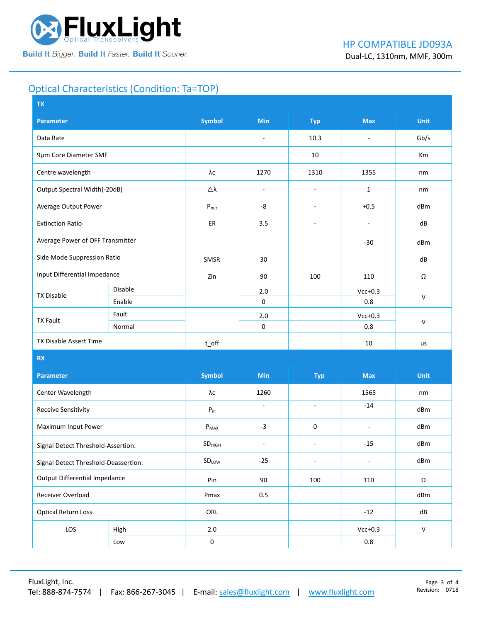

# Optical Characteristics (Condition: Ta=TOP)

| <b>TX</b>                            |         |                    |                          |                          |                          |              |  |
|--------------------------------------|---------|--------------------|--------------------------|--------------------------|--------------------------|--------------|--|
| <b>Parameter</b>                     |         | <b>Symbol</b>      | <b>Min</b>               | <b>Typ</b>               | <b>Max</b>               | <b>Unit</b>  |  |
| Data Rate                            |         |                    | $\blacksquare$           | 10.3                     | $\overline{\phantom{a}}$ | Gb/s         |  |
| 9µm Core Diameter SMF                |         |                    |                          | 10                       |                          | Km           |  |
| Centre wavelength                    |         | λc                 | 1270                     | 1310                     | 1355                     | nm           |  |
| Output Spectral Width(-20dB)         |         | Δλ                 | $\overline{\phantom{a}}$ | $\overline{\phantom{a}}$ | $\mathbf{1}$             | nm           |  |
| Average Output Power                 |         | $P_{\text{out}}$   | -8                       | $\overline{\phantom{m}}$ | $+0.5$                   | dBm          |  |
| <b>Extinction Ratio</b>              |         | ER                 | 3.5                      | $\overline{\phantom{a}}$ | $\overline{\phantom{a}}$ | dB           |  |
| Average Power of OFF Transmitter     |         |                    |                          |                          | $-30$                    | dBm          |  |
| Side Mode Suppression Ratio          |         | SMSR               | 30                       |                          |                          | dB           |  |
| Input Differential Impedance         |         | Zin                | 90                       | 100                      | 110                      | Ω            |  |
| <b>TX Disable</b>                    | Disable |                    | 2.0                      |                          | $Vcc+0.3$                | $\mathsf{V}$ |  |
|                                      | Enable  |                    | 0                        |                          | 0.8                      |              |  |
| Fault<br><b>TX Fault</b>             |         |                    | 2.0                      |                          | $Vcc+0.3$                | $\mathsf{V}$ |  |
|                                      | Normal  |                    | 0                        |                          | $0.8\,$                  |              |  |
| TX Disable Assert Time               |         | $t$ _off           |                          |                          | 10                       | us           |  |
| <b>RX</b>                            |         |                    |                          |                          |                          |              |  |
| <b>Parameter</b>                     |         | <b>Symbol</b>      | Min                      | <b>Typ</b>               | <b>Max</b>               | <b>Unit</b>  |  |
| Center Wavelength                    |         | λс                 | 1260                     |                          | 1565                     | nm           |  |
| Receive Sensitivity                  |         | $P_{in}$           | $\sim$                   | $\sim$                   | $-14$                    | dBm          |  |
| Maximum Input Power                  |         | $P_{MAX}$          | $-3$                     | 0                        | $\blacksquare$           | dBm          |  |
| Signal Detect Threshold-Assertion:   |         | SD <sub>HIGH</sub> | $\blacksquare$           | $\blacksquare$           | $-15$                    | dBm          |  |
| Signal Detect Threshold-Deassertion: |         | SDLOW              | $-25$                    | $\blacksquare$           | ÷,                       | dBm          |  |
| <b>Output Differential Impedance</b> |         | Pin                | 90                       | 100                      | 110                      | Ω            |  |
| Receiver Overload                    |         | Pmax               | 0.5                      |                          |                          | dBm          |  |
| <b>Optical Return Loss</b>           |         | ORL                |                          |                          | $-12$                    | ${\sf dB}$   |  |
| LOS<br>High                          |         | 2.0                |                          |                          | $Vcc+0.3$                | $\mathsf{V}$ |  |
| Low                                  |         | $\pmb{0}$          |                          |                          | $0.8\,$                  |              |  |